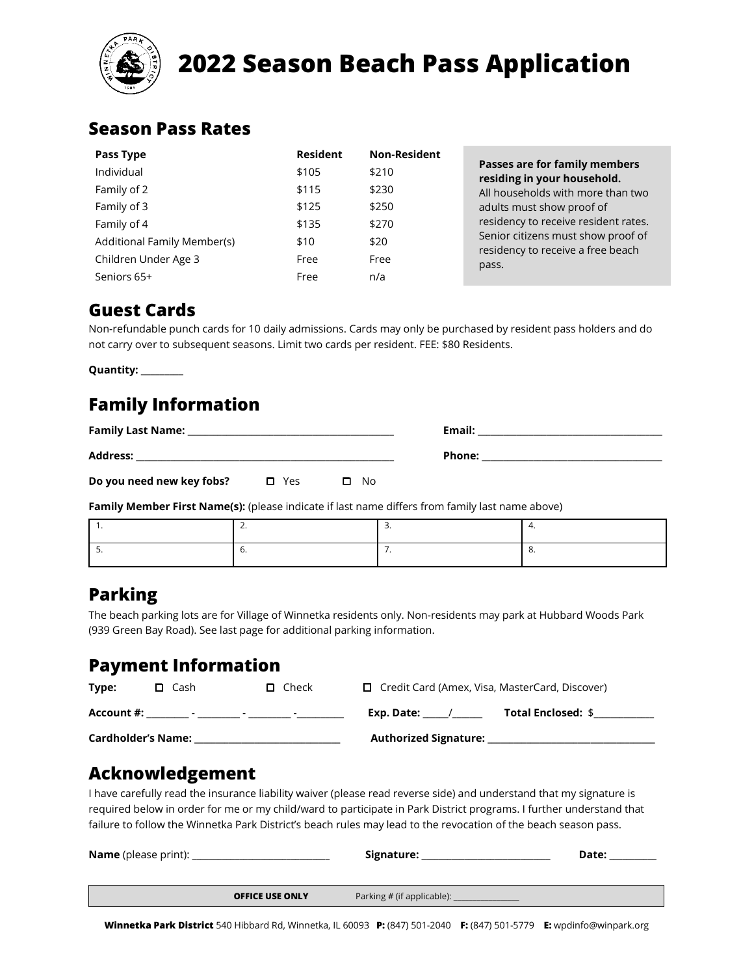

# **2022 Season Beach Pass Application**

#### **Season Pass Rates**

| Pass Type                   | <b>Resident</b> | <b>Non-Resident</b> |                                                                         |
|-----------------------------|-----------------|---------------------|-------------------------------------------------------------------------|
| Individual                  | \$105           | \$210               | Passes are for family members<br>residing in your household.            |
| Family of 2                 | \$115           | \$230               | All households with more than two                                       |
| Family of 3                 | \$125           | \$250               | adults must show proof of                                               |
| Family of 4                 | \$135           | \$270               | residency to receive resident rates.                                    |
| Additional Family Member(s) | \$10            | \$20                | Senior citizens must show proof of<br>residency to receive a free beach |
| Children Under Age 3        | Free            | Free                | pass.                                                                   |
| Seniors 65+                 | Free            | n/a                 |                                                                         |

#### **Guest Cards**

Non-refundable punch cards for 10 daily admissions. Cards may only be purchased by resident pass holders and do not carry over to subsequent seasons. Limit two cards per resident. FEE: \$80 Residents.

**Quantity:** \_\_\_\_\_\_\_\_\_

## **Family Information**

| <b>Family Last Name:</b>  |       |              | Email: |  |
|---------------------------|-------|--------------|--------|--|
| <b>Address:</b>           |       |              | Phone: |  |
| Do you need new key fobs? | □ Yes | $\square$ No |        |  |

**Family Member First Name(s):** (please indicate if last name differs from family last name above)

### **Parking**

The beach parking lots are for Village of Winnetka residents only. Non-residents may park at Hubbard Woods Park (939 Green Bay Road). See last page for additional parking information.

#### **Payment Information**

| Type:                     | $\Box$ Cash | $\Box$ Check             | $\Box$ Credit Card (Amex, Visa, MasterCard, Discover) |                           |
|---------------------------|-------------|--------------------------|-------------------------------------------------------|---------------------------|
| Account #:                | -           | $\overline{\phantom{a}}$ | Exp. Date:                                            | <b>Total Enclosed: \$</b> |
| <b>Cardholder's Name:</b> |             |                          | <b>Authorized Signature:</b>                          |                           |

#### **Acknowledgement**

I have carefully read the insurance liability waiver (please read reverse side) and understand that my signature is required below in order for me or my child/ward to participate in Park District programs. I further understand that failure to follow the Winnetka Park District's beach rules may lead to the revocation of the beach season pass.

| <b>Name</b> (please print): |                        | Signature:                 | Date: |
|-----------------------------|------------------------|----------------------------|-------|
|                             |                        |                            |       |
|                             | <b>OFFICE USE ONLY</b> | Parking # (if applicable): |       |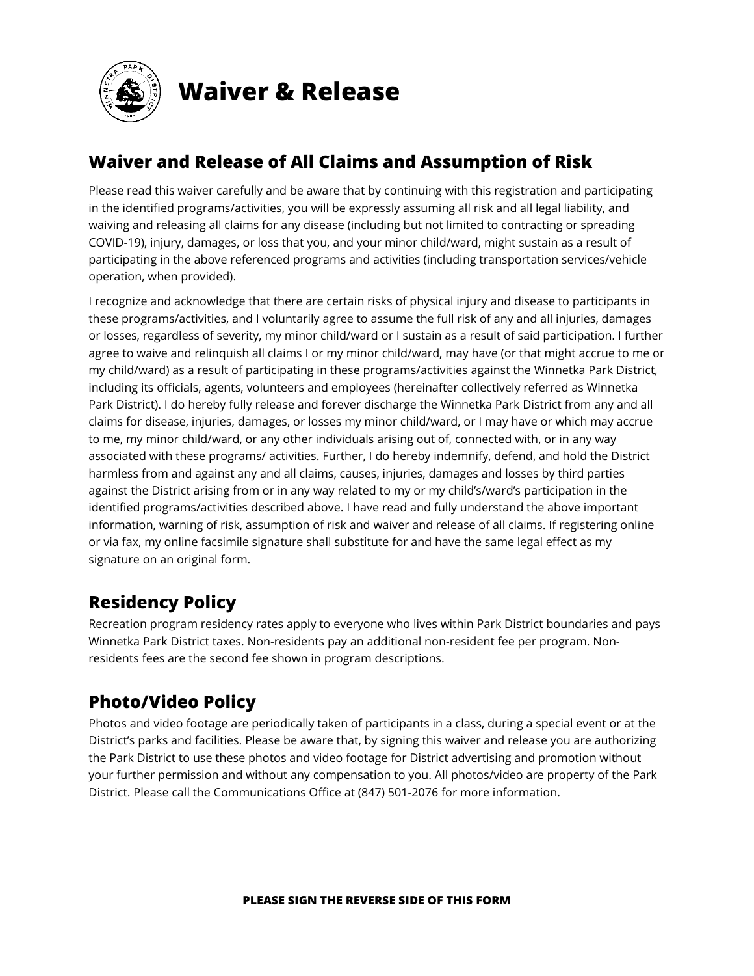

**Waiver & Release**

## **Waiver and Release of All Claims and Assumption of Risk**

Please read this waiver carefully and be aware that by continuing with this registration and participating in the identified programs/activities, you will be expressly assuming all risk and all legal liability, and waiving and releasing all claims for any disease (including but not limited to contracting or spreading COVID-19), injury, damages, or loss that you, and your minor child/ward, might sustain as a result of participating in the above referenced programs and activities (including transportation services/vehicle operation, when provided).

I recognize and acknowledge that there are certain risks of physical injury and disease to participants in these programs/activities, and I voluntarily agree to assume the full risk of any and all injuries, damages or losses, regardless of severity, my minor child/ward or I sustain as a result of said participation. I further agree to waive and relinquish all claims I or my minor child/ward, may have (or that might accrue to me or my child/ward) as a result of participating in these programs/activities against the Winnetka Park District, including its officials, agents, volunteers and employees (hereinafter collectively referred as Winnetka Park District). I do hereby fully release and forever discharge the Winnetka Park District from any and all claims for disease, injuries, damages, or losses my minor child/ward, or I may have or which may accrue to me, my minor child/ward, or any other individuals arising out of, connected with, or in any way associated with these programs/ activities. Further, I do hereby indemnify, defend, and hold the District harmless from and against any and all claims, causes, injuries, damages and losses by third parties against the District arising from or in any way related to my or my child's/ward's participation in the identified programs/activities described above. I have read and fully understand the above important information, warning of risk, assumption of risk and waiver and release of all claims. If registering online or via fax, my online facsimile signature shall substitute for and have the same legal effect as my signature on an original form.

### **Residency Policy**

Recreation program residency rates apply to everyone who lives within Park District boundaries and pays Winnetka Park District taxes. Non-residents pay an additional non-resident fee per program. Nonresidents fees are the second fee shown in program descriptions.

## **Photo/Video Policy**

Photos and video footage are periodically taken of participants in a class, during a special event or at the District's parks and facilities. Please be aware that, by signing this waiver and release you are authorizing the Park District to use these photos and video footage for District advertising and promotion without your further permission and without any compensation to you. All photos/video are property of the Park District. Please call the Communications Office at (847) 501-2076 for more information.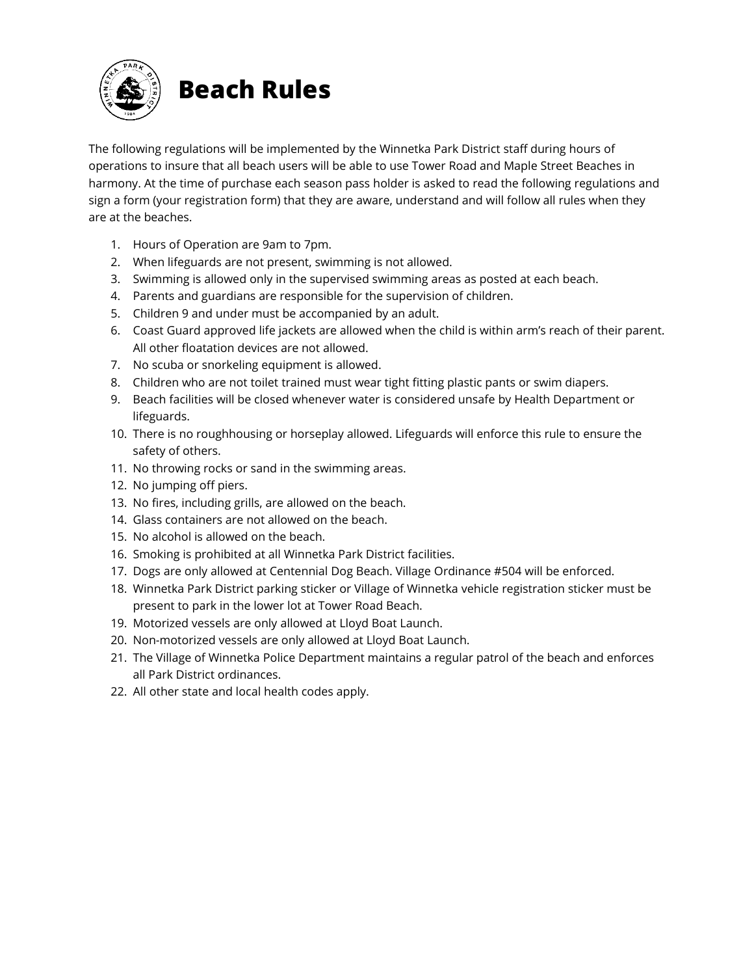

The following regulations will be implemented by the Winnetka Park District staff during hours of operations to insure that all beach users will be able to use Tower Road and Maple Street Beaches in harmony. At the time of purchase each season pass holder is asked to read the following regulations and sign a form (your registration form) that they are aware, understand and will follow all rules when they are at the beaches.

- 1. Hours of Operation are 9am to 7pm.
- 2. When lifeguards are not present, swimming is not allowed.
- 3. Swimming is allowed only in the supervised swimming areas as posted at each beach.
- 4. Parents and guardians are responsible for the supervision of children.
- 5. Children 9 and under must be accompanied by an adult.
- 6. Coast Guard approved life jackets are allowed when the child is within arm's reach of their parent. All other floatation devices are not allowed.
- 7. No scuba or snorkeling equipment is allowed.
- 8. Children who are not toilet trained must wear tight fitting plastic pants or swim diapers.
- 9. Beach facilities will be closed whenever water is considered unsafe by Health Department or lifeguards.
- 10. There is no roughhousing or horseplay allowed. Lifeguards will enforce this rule to ensure the safety of others.
- 11. No throwing rocks or sand in the swimming areas.
- 12. No jumping off piers.
- 13. No fires, including grills, are allowed on the beach.
- 14. Glass containers are not allowed on the beach.
- 15. No alcohol is allowed on the beach.
- 16. Smoking is prohibited at all Winnetka Park District facilities.
- 17. Dogs are only allowed at Centennial Dog Beach. Village Ordinance #504 will be enforced.
- 18. Winnetka Park District parking sticker or Village of Winnetka vehicle registration sticker must be present to park in the lower lot at Tower Road Beach.
- 19. Motorized vessels are only allowed at Lloyd Boat Launch.
- 20. Non-motorized vessels are only allowed at Lloyd Boat Launch.
- 21. The Village of Winnetka Police Department maintains a regular patrol of the beach and enforces all Park District ordinances.
- 22. All other state and local health codes apply.